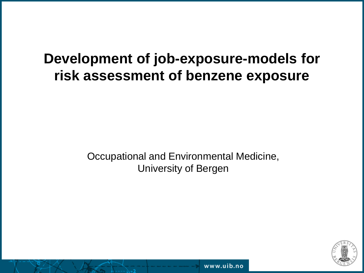## **Development of job-exposure-models for risk assessment of benzene exposure**

Occupational and Environmental Medicine, University of Bergen



www.uib.no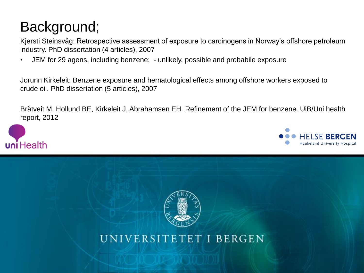# Background;

Kjersti Steinsvåg: Retrospective assessment of exposure to carcinogens in Norway's offshore petroleum industry. PhD dissertation (4 articles), 2007

• JEM for 29 agens, including benzene; - unlikely, possible and probabile exposure

Jorunn Kirkeleit: Benzene exposure and hematological effects among offshore workers exposed to crude oil. PhD dissertation (5 articles), 2007

Bråtveit M, Hollund BE, Kirkeleit J, Abrahamsen EH. Refinement of the JEM for benzene. UiB/Uni health report, 2012







UNIVERSITETET I BERGEN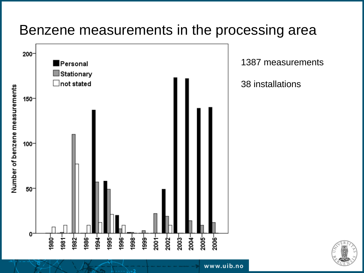### Benzene measurements in the processing area

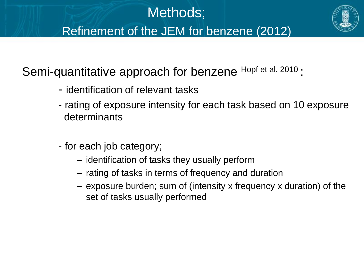

Semi-quantitative approach for benzene Hopf et al. 2010 :

- identification of relevant tasks
- rating of exposure intensity for each task based on 10 exposure determinants
- for each job category;
	- identification of tasks they usually perform
	- rating of tasks in terms of frequency and duration
	- exposure burden; sum of (intensity x frequency x duration) of the set of tasks usually performed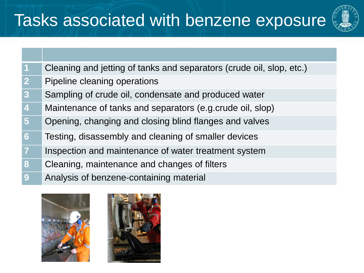# Tasks associated with benzene exposure



| $\vert$ 1      | Cleaning and jetting of tanks and separators (crude oil, slop, etc.) |
|----------------|----------------------------------------------------------------------|
| $\mathbf{2}$   | Pipeline cleaning operations                                         |
| 3 <sup>°</sup> | Sampling of crude oil, condensate and produced water                 |
| $\overline{4}$ | Maintenance of tanks and separators (e.g.crude oil, slop)            |
| 5 <sup>1</sup> | Opening, changing and closing blind flanges and valves               |

- Testing, disassembly and cleaning of smaller devices
- Inspection and maintenance of water treatment system
- Cleaning, maintenance and changes of filters
- Analysis of benzene-containing material



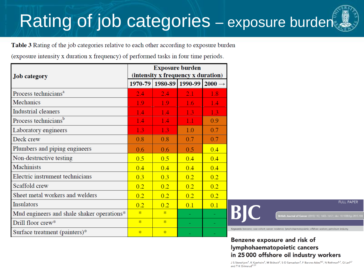# Rating of job categories – exposure burden

Table 3 Rating of the job categories relative to each other according to exposure burden

(exposure intensity x duration x frequency) of performed tasks in four time periods.

| <b>Job</b> category                        | <b>Exposure burden</b><br>(intensity x frequency x duration) |                         |     |                    |
|--------------------------------------------|--------------------------------------------------------------|-------------------------|-----|--------------------|
|                                            |                                                              | 1970-79 1980-89 1990-99 |     | $2000 \rightarrow$ |
| Process technicians <sup>a</sup>           | 2.4                                                          | 2.4                     | 2.1 | 1.8                |
| Mechanics                                  | 1.9                                                          | 1.9                     | 1.6 | 14                 |
| <b>Industrial cleaners</b>                 | 1.4                                                          | 1.4                     | 1.3 | 1.3                |
| Process technicians <sup>b</sup>           | $1.4\,$                                                      | 1.4                     | 1.1 | 0.9                |
| Laboratory engineers                       | 1.3                                                          | 1.3                     | 1.0 | 0.7                |
| Deck crew                                  | 0.8                                                          | 0.8                     | 0.7 | 0.7                |
| Plumbers and piping engineers              | 0.6                                                          | 0.6                     | 0.5 | 0.4                |
| Non-destructive testing                    | 0.5                                                          | 0.5                     | 0.4 | 0.4                |
| <b>Machinists</b>                          | 0.4                                                          | 0.4                     | 0.4 | 0.4                |
| Electric instrument technicians            | 0.3                                                          | 0.3                     | 0.2 | 0.2                |
| Scaffold crew                              | 0.2                                                          | 0.2                     | 0.2 | 0.2                |
| Sheet metal workers and welders            | 0.2                                                          | 0.2                     | 0.2 | 0.2                |
| <b>Insulators</b>                          | 0.2                                                          | 0.2                     | 0.1 | 0.1                |
| Mud engineers and shale shaker operations* | $\mathbf{k}$                                                 | $\ast$                  |     |                    |
| Drill floor crew*                          | $\mathbf{R}$                                                 | $\mathbf{x}$            |     |                    |
| Surface treatment (painters)*              | $\ast$                                                       | $\ast$                  |     |                    |

**FULL PAPER** 

ds: benzene; case-cohort; cancer incidence; lymphohaematopoietic; offshore workers; petroleum industry

#### Benzene exposure and risk of lymphohaematopoietic cancers in 25 000 offshore oil industry workers

J S Stenehjem<sup>1</sup>, K Kjærheim<sup>1</sup>, M Bråtveit<sup>2</sup>, S O Samuelsen<sup>3</sup>, F Barone-Adesi<sup>4,5</sup>, N Rothman<sup>6,7</sup>, Q Lan<sup>6,7</sup> and T K Grimsrud\*,1,7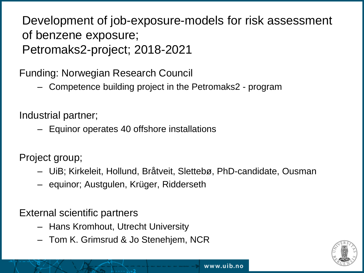#### Development of job-exposure-models for risk assessment of benzene exposure; Petromaks2-project; 2018-2021

Funding: Norwegian Research Council

– Competence building project in the Petromaks2 - program

Industrial partner;

– Equinor operates 40 offshore installations

Project group;

- UiB; Kirkeleit, Hollund, Bråtveit, Slettebø, PhD-candidate, Ousman
- equinor; Austgulen, Krüger, Ridderseth

External scientific partners

- Hans Kromhout, Utrecht University
- Tom K. Grimsrud & Jo Stenehjem, NCR

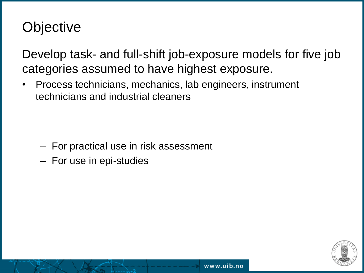# **Objective**

Develop task- and full-shift job-exposure models for five job categories assumed to have highest exposure.

• Process technicians, mechanics, lab engineers, instrument technicians and industrial cleaners

- For practical use in risk assessment
- For use in epi-studies

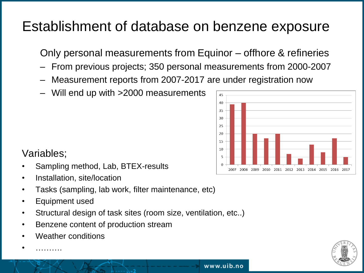# Establishment of database on benzene exposure

Only personal measurements from Equinor – offhore & refineries

– From previous projects; 350 personal measurements from 2000-2007

www.uib.no

- Measurement reports from 2007-2017 are under registration now
- Will end up with >2000 measurements



#### Variables;

- Sampling method, Lab, BTEX-results
- Installation, site/location
- Tasks (sampling, lab work, filter maintenance, etc)
- Equipment used
- Structural design of task sites (room size, ventilation, etc..)
- Benzene content of production stream
- Weather conditions

• ……….